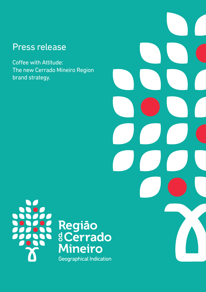### Press release

Coffee with Attitude: The new Cerrado Mineiro Region brand strategy.





# Região<br>8 Cerrado **Mineiro** Geographical Indication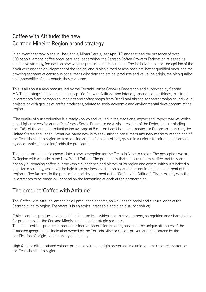### Coffee with Attitude: the new Cerrado Mineiro Region brand strategy

In an event that took place in Uberlândia, Minas Gerais, last April 19, and that had the presence of over 600 people, among coffee producers and leaderships, the Cerrado Coffee Growers Federation released its innovative strategy, focused on new ways to produce and do business. The initiative aims the recognition of the producers and the development of the region; and is also aimed at new markets, better qualified ones, and the growing segment of conscious consumers who demand ethical products and value the origin, the high quality and traceability of all products they consume.

This is all about a new posture, led by the Cerrado Coffee Growers Federation and supported by Sebrae-MG. The strategy is based on the concept 'Coffee with Attitude' and intends, amongst other things, to attract investments from companies, roasters and coffee shops from Brazil and abroad, for partnerships on individual projects or with groups of coffee producers, related to socio-economic and environmental development of the region.

"The quality of our production is already known and valued in the traditional export and import market, which pays higher prices for our coffees," says Sérgio Francisco de Assis, president of the Federation, reminding that 70% of the annual production (on average of 5 million bags) is sold to roasters in European countries, the United States and Japan. "What we intend now is to seek, among consumers and new markets, recognition of the Cerrado Mineiro region as a producing origin of ethical coffees, grown in a unique terroir and guaranteed by geographical indication," adds the president.

The goal is ambitious: to consolidate a new perception for the Cerrado Mineiro region. The perception we are "A Region with Attitude to the New World Coffee." The proposal is that the consumers realize that they are not only purchasing coffee, but the whole experience and history of its region and communities. It's indeed a long-term strategy, which will be held from business partnerships, and that requires the engagement of the region coffee farmers in the production and development of the 'Coffee with Attitude'. That's exactly why the investments to be made will depend on the formatting of each of the partnerships.

#### The product 'Coffee with Attitude'

The 'Coffee with Attitude' embodies all production aspects, as well as the social and cultural ones of the Cerrado Mineiro region. Therefore, it is an ethical, traceable and high quality product;

Ethical: coffees produced with sustainable practices, which lead to development, recognition and shared value for producers, for the Cerrado Mineiro region and strategic partners.

Traceable: coffees produced through a singular production process, based on the unique attributes of the protected geographical indication owned by the Cerrado Mineiro region, proven and guaranteed by the certification of origin, sustainability and quality.

High Quality: differentiated coffees produced with the origin preserved in a unique terroir that characterizes the Cerrado Mineiro region.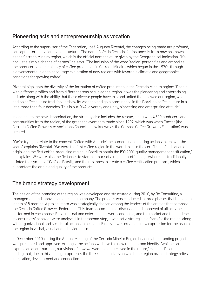#### Pioneering acts and entrepreneurship as vocation

According to the supervisor of the Federation, José Augusto Rizental, the changes being made are profound, conceptual, organizational and structural. The name Café do Cerrado, for instance, is from now on known as the Cerrado Mineiro region, which is the official nomenclature given by the Geographical Indication. "It's not just a simple change of names," he says. "The inclusion of the word 'region' personifies and embodies the producers and the history of coffee production in Cerrado Mineiro, which began in the 1970s through a governmental plan to encourage exploration of new regions with favorable climatic and geographical conditions for growing coffee".

Rizental highlights the diversity of the formation of coffee production in the Cerrado Mineiro region: "People with different profiles and from different areas occupied the region. It was the pioneering and enterprising attitude along with the ability that these diverse people have to stand united that allowed our region, which had no coffee culture tradition, to show its vocation and gain prominence in the Brazilian coffee culture in a little more than four decades. This is our DNA: diversity and unity, pioneering and enterprising attitude".

In addition to the new denomination, the strategy also includes the rescue, along with 4,500 producers and communities from the region, of the great achievements made since 1992, which was when Caccer (the Cerrado Coffee Growers Associations Council – now known as the Cerrado Coffee Growers Federation) was created.

"We're trying to relate to the concept 'Coffee with Attitude' the numerous pioneering actions taken over the years," explains Rizental. "We were the first coffee region in the world to earn the certificate of indication of origin, and the first coffee-producing region in Brazil to obtain the ISO 9001 quality management certification," he explains. We were also the first ones to stamp a mark of a region in coffee bags (where it is traditionally printed the symbol of 'Café do Brasil'), and the first ones to create a coffee certification program, which guarantees the origin and quality of the products.

#### The brand strategy development

The design of the branding of the region was developed and structured during 2010, by Be Consulting, a management and innovation consulting company. The process was conducted in three phases that had a total length of 8 months. A project team was strategically chosen among the leaders of the entities that compose the Cerrado Coffee Growers Federation. This team accompanied, discussed and approved of all activities performed in each phase. First, internal and external polls were conducted, and the market and the tendencies in consumers' behavior were analyzed. In the second step, it was set a strategic platform for the region, along with organizational and structural actions to be taken. Finally, it was created a new expression for the brand of the region in verbal, visual and behavioral terms.

In December 2010, during the Annual Meeting of the Cerrado Mineiro Region Leaders, the branding project was presented and approved. Amongst the actions we have the new region brand identity, "which is an expression of our purpose, our vision, of how we want to be perceived in the future," explains Rizental, adding that, due to this, the logo expresses the three action pillars on which the region brand strategy relies: integration, development and connection.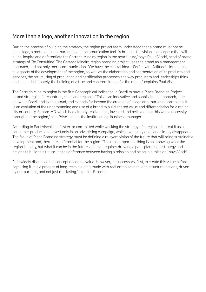#### More than a logo, another innovation in the region

During the process of building the strategy, the region project team understood that a brand must not be just a logo, a motto or just a marketing and communication tool. "A brand is the vision, the purpose that will guide, inspire and differentiate the Cerrado Mineiro region in the near future," says Paulo Vischi, head of brand strategy of 'Be Consulting'. The Cerrado Mineiro region branding project uses the brand as a management approach, and not only mere communication. "We have the central idea - 'Coffee with Attitude' - influencing all aspects of the development of the region, as well as the elaboration and segmentation of its products and services, the structuring of production and certification processes, the way producers and leaderships think and act and, ultimately, the building of a true and coherent image for the region," explains Paul Vischi.

The Cerrado Mineiro region is the first Geographical Indication in Brazil to have a Place Branding Project (brand strategies for countries, cities and regions). "This is an innovative and sophisticated approach, little known in Brazil and even abroad, and extends far beyond the creation of a logo or a marketing campaign. It is an evolution of the understanding and use of a brand to build shared value and differentiation for a region, city or country. Sebrae-MG, which had already realized this, invested and believed that this was a necessity throughout the region," said Priscilla Lins, the institution agribusiness manager.

According to Paul Vischi, the first error committed while working the strategy of a region is to treat it as a consumer product, and invest only in an advertising campaign, which eventually ends and simply disappears. The focus of Place Branding strategy must be defining a relevant vision of the future that will bring sustainable development and, therefore, differential for the region. "The most important thing is not knowing what the region is today, but what it can be in the future, and this requires drawing a path, planning a strategy and actions to build this future. It's the difference between having a mission and being in a mission," says Vischi.

"It is widely discussed the concept of adding value. However, it is necessary, first, to create this value before capturing it. It is a process of long-term building made with real organizational and structural actions, driven by our purpose, and not just marketing," explains Rizental.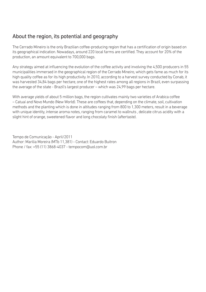#### About the region, its potential and geography

The Cerrado Mineiro is the only Brazilian coffee-producing region that has a certification of origin based on its geographical indication. Nowadays, around 220 local farms are certified. They account for 20% of the production, an amount equivalent to 700,000 bags.

Any strategy aimed at influencing the evolution of the coffee activity and involving the 4,500 producers in 55 municipalities immersed in the geographical region of the Cerrado Mineiro, which gets fame as much for its high quality coffee as for its high productivity. In 2010, according to a harvest survey conducted by Conab, it was harvested 34,84 bags per hectare, one of the highest rates among all regions in Brazil, even surpassing the average of the state - Brazil's largest producer – which was 24,99 bags per hectare.

With average yields of about 5 million bags, the region cultivates mainly two varieties of Arabica coffee – Catuaí and Novo Mundo (New World). These are coffees that, depending on the climate, soil, cultivation methods and the planting which is done in altitudes ranging from 800 to 1,300 meters, result in a beverage with unique identity, intense aroma notes, ranging from caramel to wallnuts , delicate citrus acidity with a slight hint of orange, sweetened flavor and long chocolaty finish (aftertaste).

Tempo de Comunicação - April/2011 Author: Marilia Moreira (MTb 11,381) - Contact: Eduardo Buitron Phone / fax: +55 (11) 3868-4037 - tempocom@uol.com.br